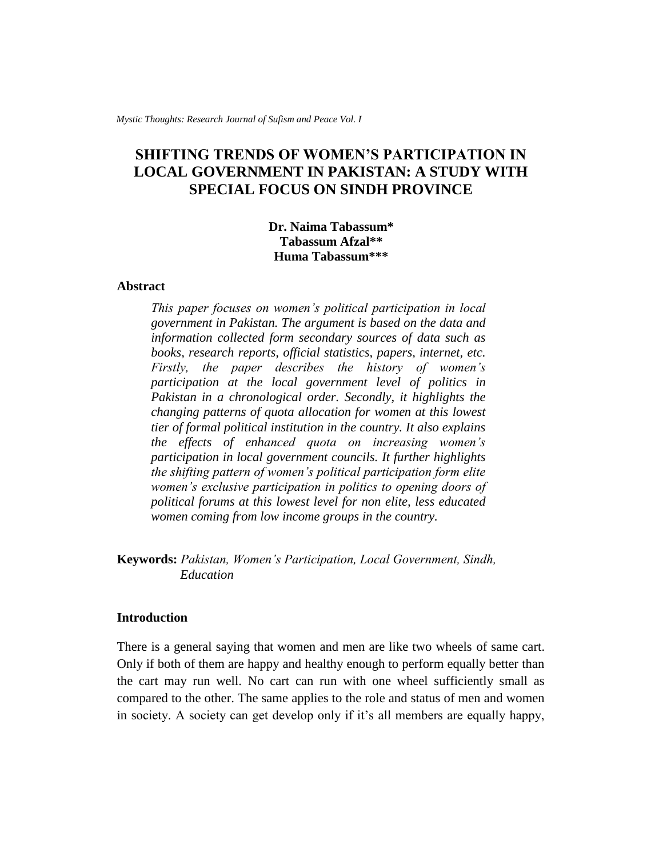# **SHIFTING TRENDS OF WOMEN'S PARTICIPATION IN LOCAL GOVERNMENT IN PAKISTAN: A STUDY WITH SPECIAL FOCUS ON SINDH PROVINCE**

# **Dr. Naima Tabassum\* Tabassum Afzal\*\* Huma Tabassum\*\*\***

# **Abstract**

*This paper focuses on women's political participation in local government in Pakistan. The argument is based on the data and information collected form secondary sources of data such as books, research reports, official statistics, papers, internet, etc. Firstly, the paper describes the history of women's participation at the local government level of politics in Pakistan in a chronological order. Secondly, it highlights the changing patterns of quota allocation for women at this lowest tier of formal political institution in the country. It also explains the effects of enhanced quota on increasing women's participation in local government councils. It further highlights the shifting pattern of women's political participation form elite women's exclusive participation in politics to opening doors of political forums at this lowest level for non elite, less educated women coming from low income groups in the country.* 

**Keywords:** *Pakistan, Women's Participation, Local Government, Sindh, Education*

#### **Introduction**

There is a general saying that women and men are like two wheels of same cart. Only if both of them are happy and healthy enough to perform equally better than the cart may run well. No cart can run with one wheel sufficiently small as compared to the other. The same applies to the role and status of men and women in society. A society can get develop only if it's all members are equally happy,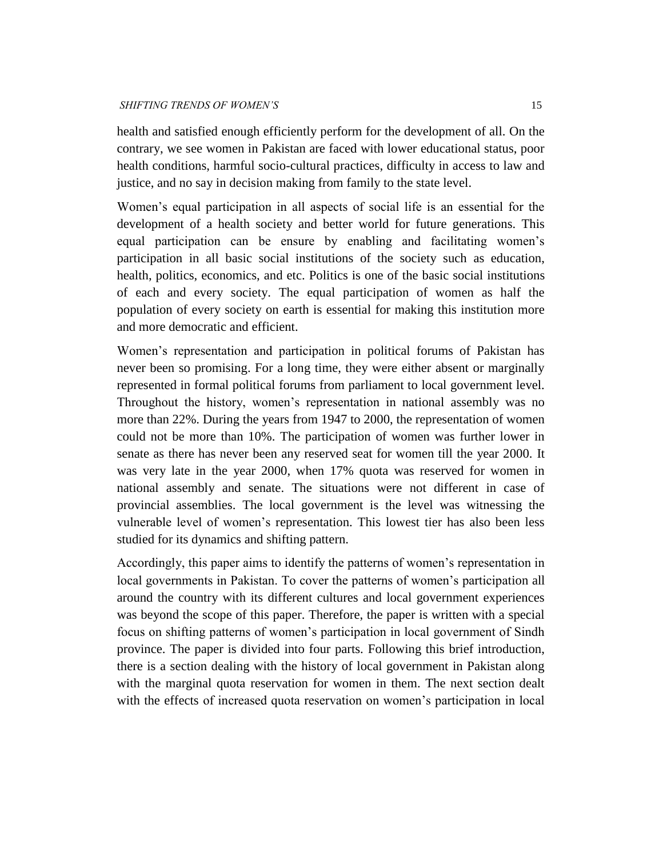health and satisfied enough efficiently perform for the development of all. On the contrary, we see women in Pakistan are faced with lower educational status, poor health conditions, harmful socio-cultural practices, difficulty in access to law and justice, and no say in decision making from family to the state level.

Women's equal participation in all aspects of social life is an essential for the development of a health society and better world for future generations. This equal participation can be ensure by enabling and facilitating women's participation in all basic social institutions of the society such as education, health, politics, economics, and etc. Politics is one of the basic social institutions of each and every society. The equal participation of women as half the population of every society on earth is essential for making this institution more and more democratic and efficient.

Women's representation and participation in political forums of Pakistan has never been so promising. For a long time, they were either absent or marginally represented in formal political forums from parliament to local government level. Throughout the history, women's representation in national assembly was no more than 22%. During the years from 1947 to 2000, the representation of women could not be more than 10%. The participation of women was further lower in senate as there has never been any reserved seat for women till the year 2000. It was very late in the year 2000, when 17% quota was reserved for women in national assembly and senate. The situations were not different in case of provincial assemblies. The local government is the level was witnessing the vulnerable level of women's representation. This lowest tier has also been less studied for its dynamics and shifting pattern.

Accordingly, this paper aims to identify the patterns of women's representation in local governments in Pakistan. To cover the patterns of women's participation all around the country with its different cultures and local government experiences was beyond the scope of this paper. Therefore, the paper is written with a special focus on shifting patterns of women's participation in local government of Sindh province. The paper is divided into four parts. Following this brief introduction, there is a section dealing with the history of local government in Pakistan along with the marginal quota reservation for women in them. The next section dealt with the effects of increased quota reservation on women's participation in local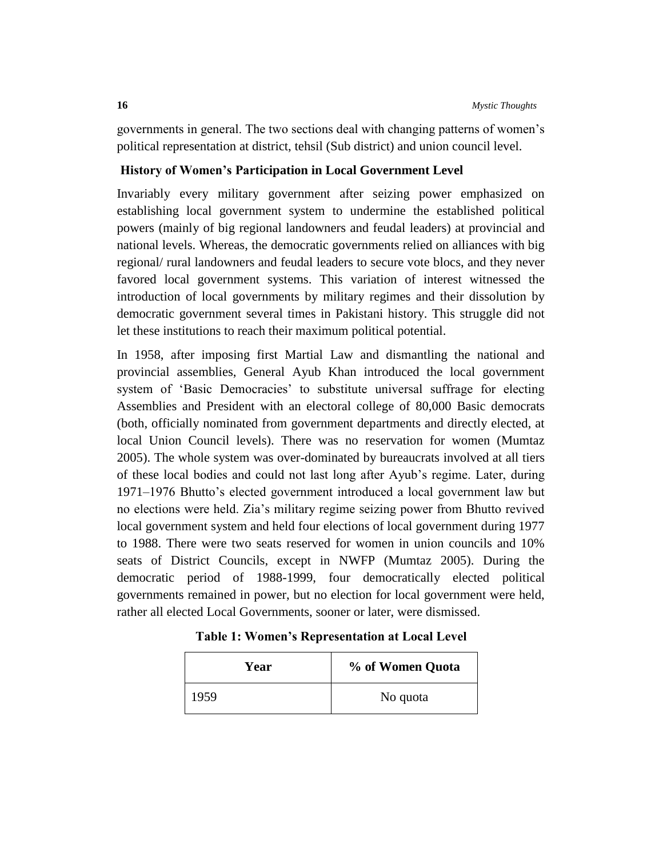governments in general. The two sections deal with changing patterns of women's political representation at district, tehsil (Sub district) and union council level.

# **History of Women's Participation in Local Government Level**

Invariably every military government after seizing power emphasized on establishing local government system to undermine the established political powers (mainly of big regional landowners and feudal leaders) at provincial and national levels. Whereas, the democratic governments relied on alliances with big regional/ rural landowners and feudal leaders to secure vote blocs, and they never favored local government systems. This variation of interest witnessed the introduction of local governments by military regimes and their dissolution by democratic government several times in Pakistani history. This struggle did not let these institutions to reach their maximum political potential.

In 1958, after imposing first Martial Law and dismantling the national and provincial assemblies, General Ayub Khan introduced the local government system of 'Basic Democracies' to substitute universal suffrage for electing Assemblies and President with an electoral college of 80,000 Basic democrats (both, officially nominated from government departments and directly elected, at local Union Council levels). There was no reservation for women (Mumtaz 2005). The whole system was over-dominated by bureaucrats involved at all tiers of these local bodies and could not last long after Ayub's regime. Later, during 1971–1976 Bhutto's elected government introduced a local government law but no elections were held. Zia's military regime seizing power from Bhutto revived local government system and held four elections of local government during 1977 to 1988. There were two seats reserved for women in union councils and 10% seats of District Councils, except in NWFP (Mumtaz 2005). During the democratic period of 1988-1999, four democratically elected political governments remained in power, but no election for local government were held, rather all elected Local Governments, sooner or later, were dismissed.

| Year | % of Women Quota |
|------|------------------|
| 1959 | No quota         |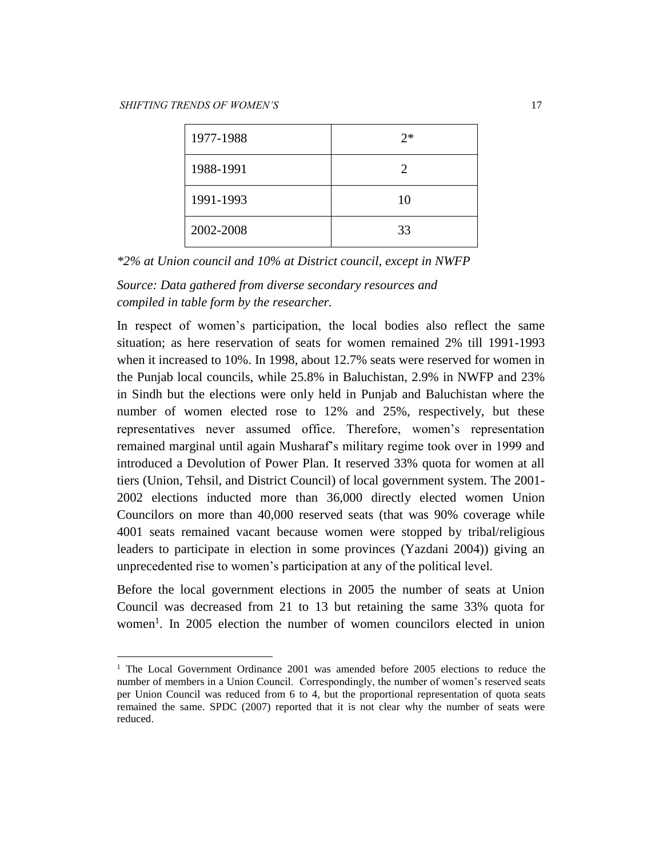$\overline{a}$ 

| 1977-1988 | $2*$ |
|-----------|------|
| 1988-1991 | 2    |
| 1991-1993 | 10   |
| 2002-2008 | 33   |

*\*2% at Union council and 10% at District council, except in NWFP* 

*Source: Data gathered from diverse secondary resources and compiled in table form by the researcher.* 

In respect of women's participation, the local bodies also reflect the same situation; as here reservation of seats for women remained 2% till 1991-1993 when it increased to 10%. In 1998, about 12.7% seats were reserved for women in the Punjab local councils, while 25.8% in Baluchistan, 2.9% in NWFP and 23% in Sindh but the elections were only held in Punjab and Baluchistan where the number of women elected rose to 12% and 25%, respectively, but these representatives never assumed office. Therefore, women's representation remained marginal until again Musharaf's military regime took over in 1999 and introduced a Devolution of Power Plan. It reserved 33% quota for women at all tiers (Union, Tehsil, and District Council) of local government system. The 2001- 2002 elections inducted more than 36,000 directly elected women Union Councilors on more than 40,000 reserved seats (that was 90% coverage while 4001 seats remained vacant because women were stopped by tribal/religious leaders to participate in election in some provinces (Yazdani 2004)) giving an unprecedented rise to women's participation at any of the political level.

Before the local government elections in 2005 the number of seats at Union Council was decreased from 21 to 13 but retaining the same 33% quota for women<sup>1</sup>. In 2005 election the number of women councilors elected in union

<sup>&</sup>lt;sup>1</sup> The Local Government Ordinance 2001 was amended before 2005 elections to reduce the number of members in a Union Council. Correspondingly, the number of women's reserved seats per Union Council was reduced from 6 to 4, but the proportional representation of quota seats remained the same. SPDC (2007) reported that it is not clear why the number of seats were reduced.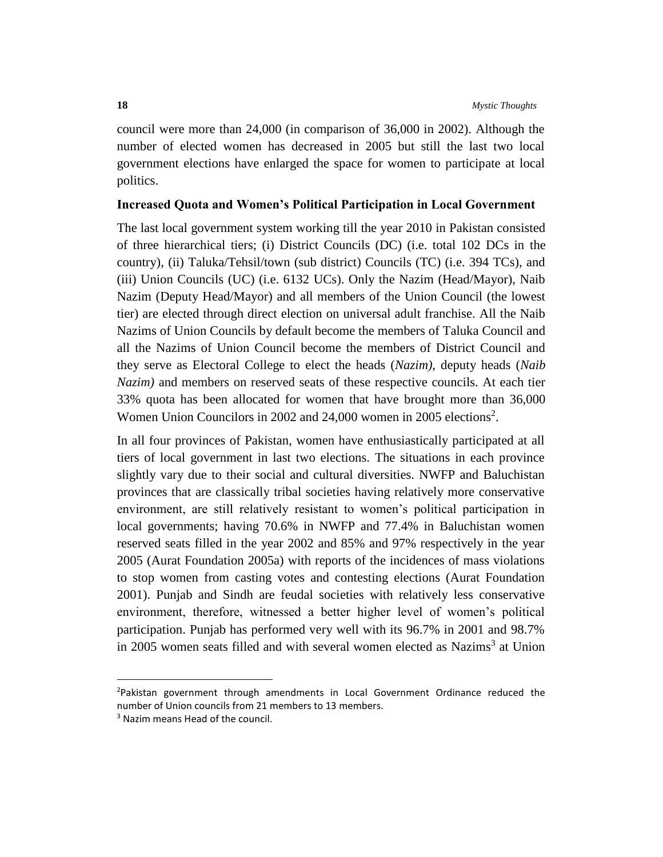council were more than 24,000 (in comparison of 36,000 in 2002). Although the number of elected women has decreased in 2005 but still the last two local government elections have enlarged the space for women to participate at local politics.

# **Increased Quota and Women's Political Participation in Local Government**

The last local government system working till the year 2010 in Pakistan consisted of three hierarchical tiers; (i) District Councils (DC) (i.e. total 102 DCs in the country), (ii) Taluka/Tehsil/town (sub district) Councils (TC) (i.e. 394 TCs), and (iii) Union Councils (UC) (i.e. 6132 UCs). Only the Nazim (Head/Mayor), Naib Nazim (Deputy Head/Mayor) and all members of the Union Council (the lowest tier) are elected through direct election on universal adult franchise. All the Naib Nazims of Union Councils by default become the members of Taluka Council and all the Nazims of Union Council become the members of District Council and they serve as Electoral College to elect the heads (*Nazim)*, deputy heads (*Naib Nazim)* and members on reserved seats of these respective councils. At each tier 33% quota has been allocated for women that have brought more than 36,000 Women Union Councilors in 2002 and 24,000 women in 2005 elections<sup>2</sup>.

In all four provinces of Pakistan, women have enthusiastically participated at all tiers of local government in last two elections. The situations in each province slightly vary due to their social and cultural diversities. NWFP and Baluchistan provinces that are classically tribal societies having relatively more conservative environment, are still relatively resistant to women's political participation in local governments; having 70.6% in NWFP and 77.4% in Baluchistan women reserved seats filled in the year 2002 and 85% and 97% respectively in the year 2005 (Aurat Foundation 2005a) with reports of the incidences of mass violations to stop women from casting votes and contesting elections (Aurat Foundation 2001). Punjab and Sindh are feudal societies with relatively less conservative environment, therefore, witnessed a better higher level of women's political participation. Punjab has performed very well with its 96.7% in 2001 and 98.7% in 2005 women seats filled and with several women elected as Nazims<sup>3</sup> at Union

 $\overline{a}$ 

<sup>&</sup>lt;sup>2</sup>Pakistan government through amendments in Local Government Ordinance reduced the number of Union councils from 21 members to 13 members.

<sup>&</sup>lt;sup>3</sup> Nazim means Head of the council.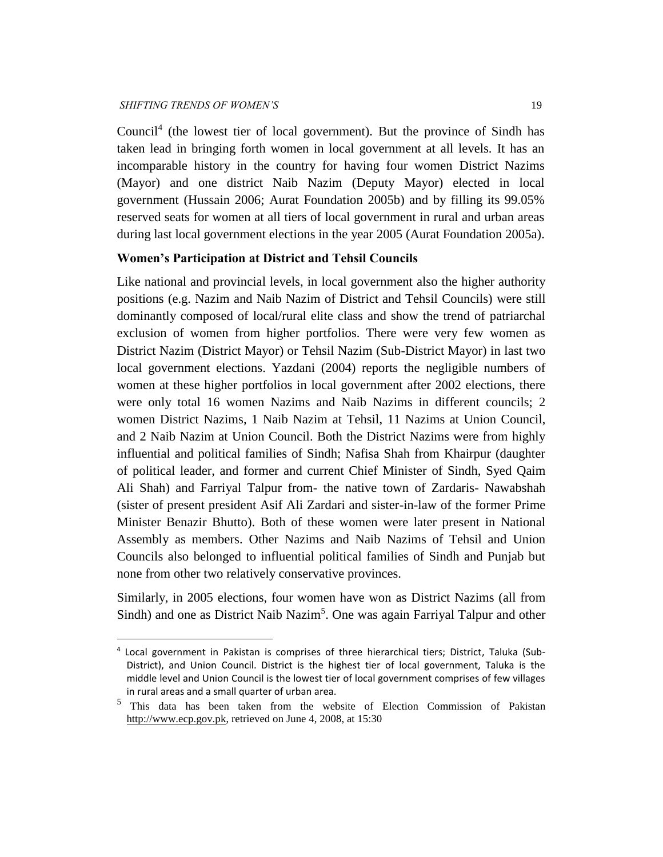$\overline{a}$ 

Council<sup>4</sup> (the lowest tier of local government). But the province of Sindh has taken lead in bringing forth women in local government at all levels. It has an incomparable history in the country for having four women District Nazims (Mayor) and one district Naib Nazim (Deputy Mayor) elected in local government (Hussain 2006; Aurat Foundation 2005b) and by filling its 99.05% reserved seats for women at all tiers of local government in rural and urban areas during last local government elections in the year 2005 (Aurat Foundation 2005a).

# **Women's Participation at District and Tehsil Councils**

Like national and provincial levels, in local government also the higher authority positions (e.g. Nazim and Naib Nazim of District and Tehsil Councils) were still dominantly composed of local/rural elite class and show the trend of patriarchal exclusion of women from higher portfolios. There were very few women as District Nazim (District Mayor) or Tehsil Nazim (Sub-District Mayor) in last two local government elections. Yazdani (2004) reports the negligible numbers of women at these higher portfolios in local government after 2002 elections, there were only total 16 women Nazims and Naib Nazims in different councils; 2 women District Nazims, 1 Naib Nazim at Tehsil, 11 Nazims at Union Council, and 2 Naib Nazim at Union Council. Both the District Nazims were from highly influential and political families of Sindh; Nafisa Shah from Khairpur (daughter of political leader, and former and current Chief Minister of Sindh, Syed Qaim Ali Shah) and Farriyal Talpur from- the native town of Zardaris- Nawabshah (sister of present president Asif Ali Zardari and sister-in-law of the former Prime Minister Benazir Bhutto). Both of these women were later present in National Assembly as members. Other Nazims and Naib Nazims of Tehsil and Union Councils also belonged to influential political families of Sindh and Punjab but none from other two relatively conservative provinces.

Similarly, in 2005 elections, four women have won as District Nazims (all from Sindh) and one as District Naib Nazim<sup>5</sup>. One was again Farriyal Talpur and other

<sup>4</sup> Local government in Pakistan is comprises of three hierarchical tiers; District, Taluka (Sub-District), and Union Council. District is the highest tier of local government, Taluka is the middle level and Union Council is the lowest tier of local government comprises of few villages in rural areas and a small quarter of urban area.

<sup>5</sup> This data has been taken from the website of Election Commission of Pakistan [http://www.ecp.gov.pk,](http://www.ecp.gov.pk/) retrieved on June 4, 2008, at 15:30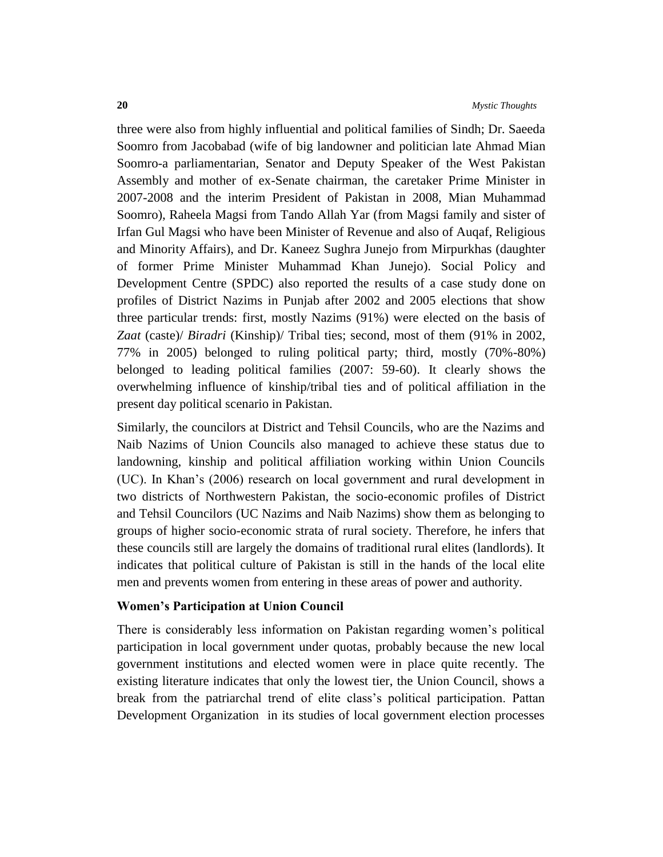three were also from highly influential and political families of Sindh; Dr. Saeeda Soomro from Jacobabad (wife of big landowner and politician late Ahmad Mian Soomro-a parliamentarian, Senator and Deputy Speaker of the West Pakistan Assembly and mother of ex-Senate chairman, the caretaker Prime Minister in 2007-2008 and the interim President of Pakistan in 2008, Mian Muhammad Soomro), Raheela Magsi from Tando Allah Yar (from Magsi family and sister of Irfan Gul Magsi who have been Minister of Revenue and also of Auqaf, Religious and Minority Affairs), and Dr. Kaneez Sughra Junejo from Mirpurkhas (daughter of former Prime Minister Muhammad Khan Junejo). Social Policy and Development Centre (SPDC) also reported the results of a case study done on profiles of District Nazims in Punjab after 2002 and 2005 elections that show three particular trends: first, mostly Nazims (91%) were elected on the basis of *Zaat* (caste)/ *Biradri* (Kinship)/ Tribal ties; second, most of them (91% in 2002, 77% in 2005) belonged to ruling political party; third, mostly (70%-80%) belonged to leading political families (2007: 59-60). It clearly shows the overwhelming influence of kinship/tribal ties and of political affiliation in the present day political scenario in Pakistan.

Similarly, the councilors at District and Tehsil Councils, who are the Nazims and Naib Nazims of Union Councils also managed to achieve these status due to landowning, kinship and political affiliation working within Union Councils (UC). In Khan's (2006) research on local government and rural development in two districts of Northwestern Pakistan, the socio-economic profiles of District and Tehsil Councilors (UC Nazims and Naib Nazims) show them as belonging to groups of higher socio-economic strata of rural society. Therefore, he infers that these councils still are largely the domains of traditional rural elites (landlords). It indicates that political culture of Pakistan is still in the hands of the local elite men and prevents women from entering in these areas of power and authority.

#### **Women's Participation at Union Council**

There is considerably less information on Pakistan regarding women's political participation in local government under quotas, probably because the new local government institutions and elected women were in place quite recently. The existing literature indicates that only the lowest tier, the Union Council, shows a break from the patriarchal trend of elite class's political participation. Pattan Development Organization in its studies of local government election processes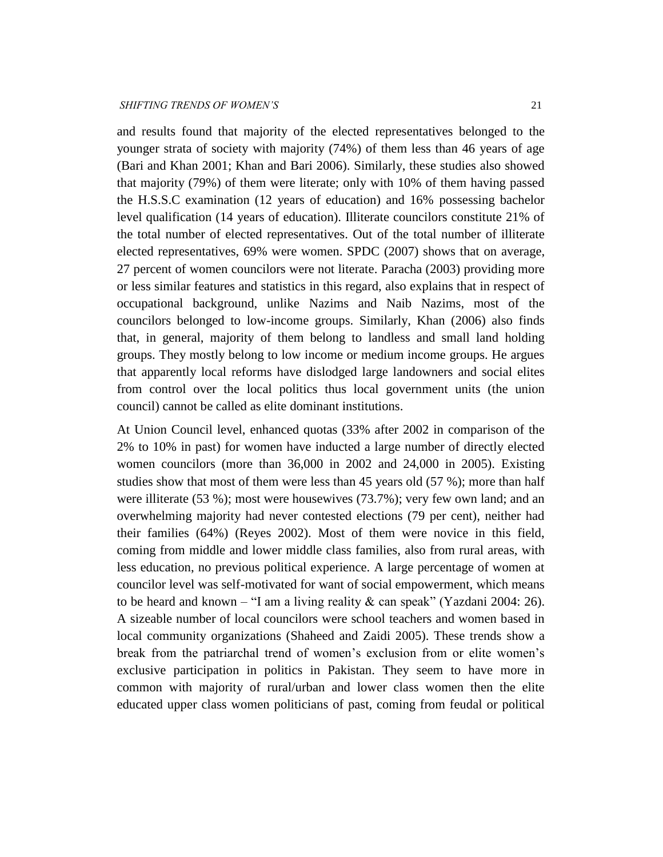and results found that majority of the elected representatives belonged to the younger strata of society with majority (74%) of them less than 46 years of age (Bari and Khan 2001; Khan and Bari 2006). Similarly, these studies also showed that majority (79%) of them were literate; only with 10% of them having passed the H.S.S.C examination (12 years of education) and 16% possessing bachelor level qualification (14 years of education). Illiterate councilors constitute 21% of the total number of elected representatives. Out of the total number of illiterate elected representatives, 69% were women. SPDC (2007) shows that on average, 27 percent of women councilors were not literate. Paracha (2003) providing more or less similar features and statistics in this regard, also explains that in respect of occupational background, unlike Nazims and Naib Nazims, most of the councilors belonged to low-income groups. Similarly, Khan (2006) also finds that, in general, majority of them belong to landless and small land holding groups. They mostly belong to low income or medium income groups. He argues that apparently local reforms have dislodged large landowners and social elites from control over the local politics thus local government units (the union council) cannot be called as elite dominant institutions.

At Union Council level, enhanced quotas (33% after 2002 in comparison of the 2% to 10% in past) for women have inducted a large number of directly elected women councilors (more than 36,000 in 2002 and 24,000 in 2005). Existing studies show that most of them were less than 45 years old (57 %); more than half were illiterate (53 %); most were housewives (73.7%); very few own land; and an overwhelming majority had never contested elections (79 per cent), neither had their families (64%) (Reyes 2002). Most of them were novice in this field, coming from middle and lower middle class families, also from rural areas, with less education, no previous political experience. A large percentage of women at councilor level was self-motivated for want of social empowerment, which means to be heard and known – "I am a living reality  $\&$  can speak" (Yazdani 2004: 26). A sizeable number of local councilors were school teachers and women based in local community organizations (Shaheed and Zaidi 2005). These trends show a break from the patriarchal trend of women's exclusion from or elite women's exclusive participation in politics in Pakistan. They seem to have more in common with majority of rural/urban and lower class women then the elite educated upper class women politicians of past, coming from feudal or political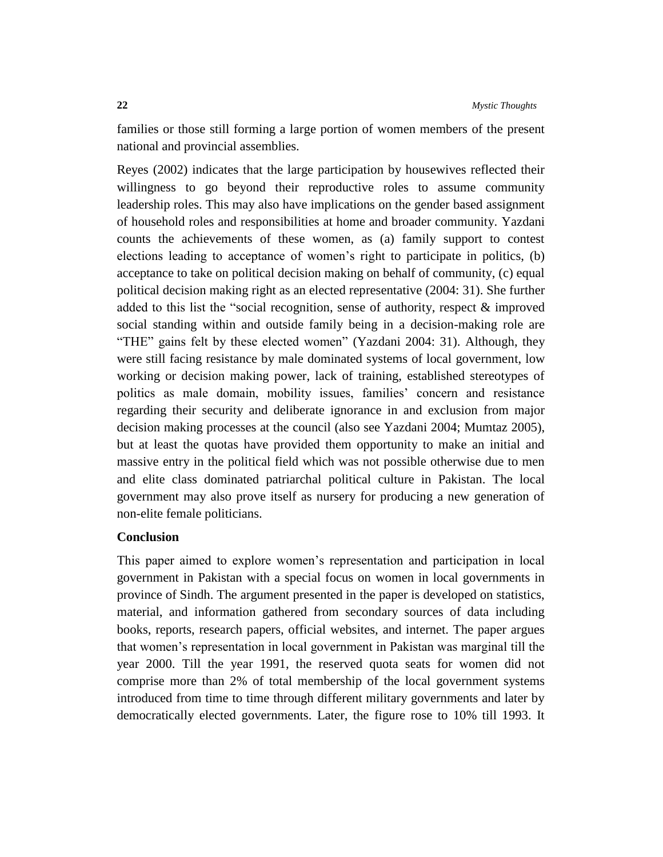families or those still forming a large portion of women members of the present national and provincial assemblies.

Reyes (2002) indicates that the large participation by housewives reflected their willingness to go beyond their reproductive roles to assume community leadership roles. This may also have implications on the gender based assignment of household roles and responsibilities at home and broader community. Yazdani counts the achievements of these women, as (a) family support to contest elections leading to acceptance of women's right to participate in politics, (b) acceptance to take on political decision making on behalf of community, (c) equal political decision making right as an elected representative (2004: 31). She further added to this list the "social recognition, sense of authority, respect & improved social standing within and outside family being in a decision-making role are "THE" gains felt by these elected women" (Yazdani 2004: 31). Although, they were still facing resistance by male dominated systems of local government, low working or decision making power, lack of training, established stereotypes of politics as male domain, mobility issues, families' concern and resistance regarding their security and deliberate ignorance in and exclusion from major decision making processes at the council (also see Yazdani 2004; Mumtaz 2005), but at least the quotas have provided them opportunity to make an initial and massive entry in the political field which was not possible otherwise due to men and elite class dominated patriarchal political culture in Pakistan. The local government may also prove itself as nursery for producing a new generation of non-elite female politicians.

# **Conclusion**

This paper aimed to explore women's representation and participation in local government in Pakistan with a special focus on women in local governments in province of Sindh. The argument presented in the paper is developed on statistics, material, and information gathered from secondary sources of data including books, reports, research papers, official websites, and internet. The paper argues that women's representation in local government in Pakistan was marginal till the year 2000. Till the year 1991, the reserved quota seats for women did not comprise more than 2% of total membership of the local government systems introduced from time to time through different military governments and later by democratically elected governments. Later, the figure rose to 10% till 1993. It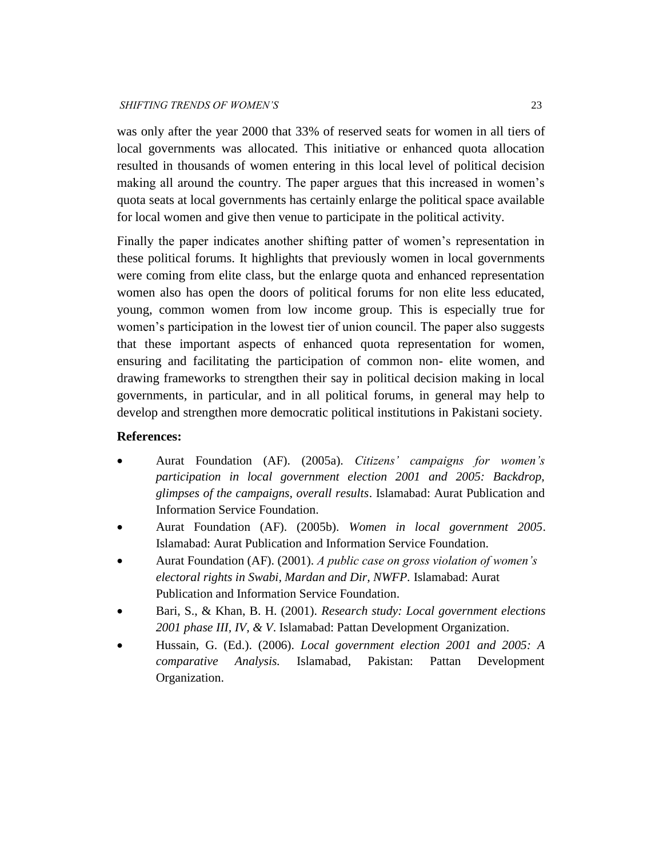was only after the year 2000 that 33% of reserved seats for women in all tiers of local governments was allocated. This initiative or enhanced quota allocation resulted in thousands of women entering in this local level of political decision making all around the country. The paper argues that this increased in women's quota seats at local governments has certainly enlarge the political space available for local women and give then venue to participate in the political activity.

Finally the paper indicates another shifting patter of women's representation in these political forums. It highlights that previously women in local governments were coming from elite class, but the enlarge quota and enhanced representation women also has open the doors of political forums for non elite less educated, young, common women from low income group. This is especially true for women's participation in the lowest tier of union council. The paper also suggests that these important aspects of enhanced quota representation for women, ensuring and facilitating the participation of common non- elite women, and drawing frameworks to strengthen their say in political decision making in local governments, in particular, and in all political forums, in general may help to develop and strengthen more democratic political institutions in Pakistani society.

# **References:**

- Aurat Foundation (AF). (2005a). *Citizens' campaigns for women's participation in local government election 2001 and 2005: Backdrop, glimpses of the campaigns, overall results*. Islamabad: Aurat Publication and Information Service Foundation.
- Aurat Foundation (AF). (2005b). *Women in local government 2005*. Islamabad: Aurat Publication and Information Service Foundation.
- Aurat Foundation (AF). (2001). *A public case on gross violation of women's electoral rights in Swabi, Mardan and Dir, NWFP.* Islamabad: Aurat Publication and Information Service Foundation.
- Bari, S., & Khan, B. H. (2001). *Research study: Local government elections 2001 phase III, IV, & V*. Islamabad: Pattan Development Organization.
- Hussain, G. (Ed.). (2006). *Local government election 2001 and 2005: A comparative Analysis.* Islamabad, Pakistan: Pattan Development Organization.